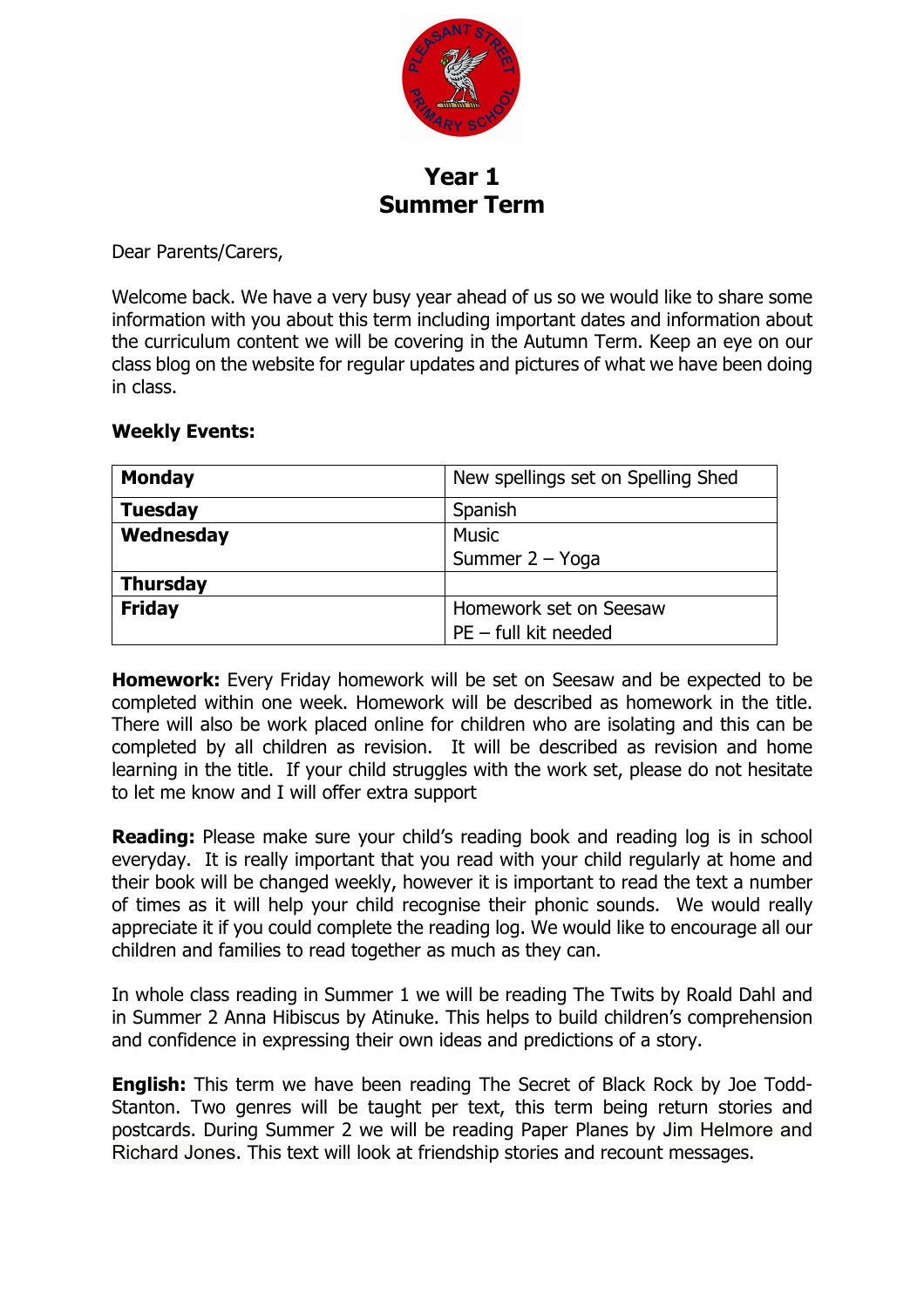

## **Year 1 Summer Term**

Dear Parents/Carers,

Welcome back. We have a very busy year ahead of us so we would like to share some information with you about this term including important dates and information about the curriculum content we will be covering in the Autumn Term. Keep an eye on our class blog on the website for regular updates and pictures of what we have been doing in class.

## **Weekly Events:**

| <b>Monday</b>   | New spellings set on Spelling Shed |  |  |
|-----------------|------------------------------------|--|--|
| <b>Tuesday</b>  | Spanish                            |  |  |
| Wednesday       | <b>Music</b>                       |  |  |
|                 | Summer 2 - Yoga                    |  |  |
| <b>Thursday</b> |                                    |  |  |
| <b>Friday</b>   | Homework set on Seesaw             |  |  |
|                 | $PE - full$ kit needed             |  |  |

**Homework:** Every Friday homework will be set on Seesaw and be expected to be completed within one week. Homework will be described as homework in the title. There will also be work placed online for children who are isolating and this can be completed by all children as revision. It will be described as revision and home learning in the title. If your child struggles with the work set, please do not hesitate to let me know and I will offer extra support

**Reading:** Please make sure your child's reading book and reading log is in school everyday. It is really important that you read with your child regularly at home and their book will be changed weekly, however it is important to read the text a number of times as it will help your child recognise their phonic sounds. We would really appreciate it if you could complete the reading log. We would like to encourage all our children and families to read together as much as they can.

In whole class reading in Summer 1 we will be reading The Twits by Roald Dahl and in Summer 2 Anna Hibiscus by Atinuke. This helps to build children's comprehension and confidence in expressing their own ideas and predictions of a story.

**English:** This term we have been reading The Secret of Black Rock by Joe Todd-Stanton. Two genres will be taught per text, this term being return stories and postcards. During Summer 2 we will be reading Paper Planes by Jim Helmore and Richard Jones. This text will look at friendship stories and recount messages.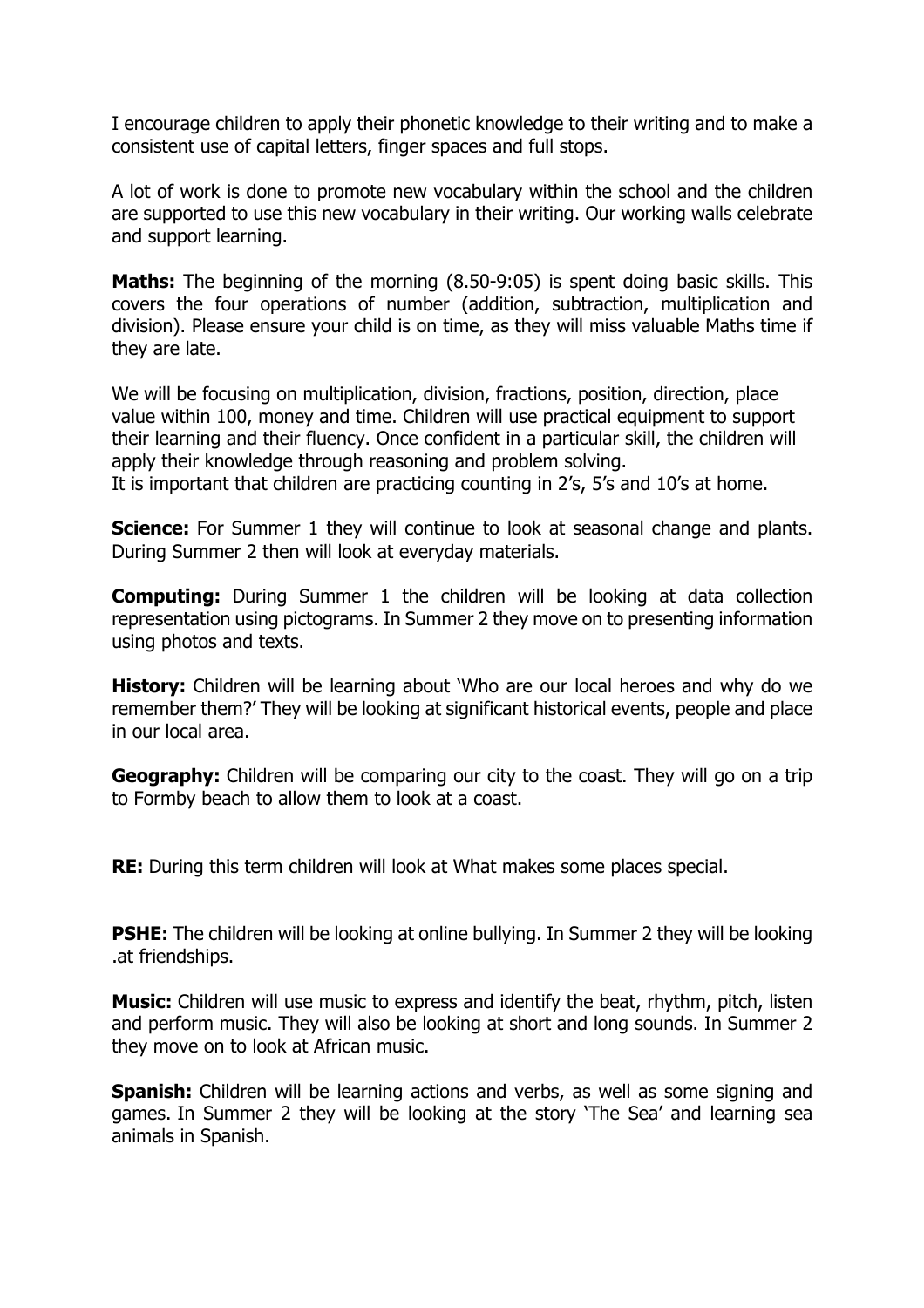I encourage children to apply their phonetic knowledge to their writing and to make a consistent use of capital letters, finger spaces and full stops.

A lot of work is done to promote new vocabulary within the school and the children are supported to use this new vocabulary in their writing. Our working walls celebrate and support learning.

**Maths:** The beginning of the morning (8.50-9:05) is spent doing basic skills. This covers the four operations of number (addition, subtraction, multiplication and division). Please ensure your child is on time, as they will miss valuable Maths time if they are late.

We will be focusing on multiplication, division, fractions, position, direction, place value within 100, money and time. Children will use practical equipment to support their learning and their fluency. Once confident in a particular skill, the children will apply their knowledge through reasoning and problem solving. It is important that children are practicing counting in 2's, 5's and 10's at home.

**Science:** For Summer 1 they will continue to look at seasonal change and plants. During Summer 2 then will look at everyday materials.

**Computing:** During Summer 1 the children will be looking at data collection representation using pictograms. In Summer 2 they move on to presenting information using photos and texts.

**History:** Children will be learning about 'Who are our local heroes and why do we remember them?' They will be looking at significant historical events, people and place in our local area.

**Geography:** Children will be comparing our city to the coast. They will go on a trip to Formby beach to allow them to look at a coast.

**RE:** During this term children will look at What makes some places special.

**PSHE:** The children will be looking at online bullying. In Summer 2 they will be looking .at friendships.

**Music:** Children will use music to express and identify the beat, rhythm, pitch, listen and perform music. They will also be looking at short and long sounds. In Summer 2 they move on to look at African music.

**Spanish:** Children will be learning actions and verbs, as well as some signing and games. In Summer 2 they will be looking at the story 'The Sea' and learning sea animals in Spanish.